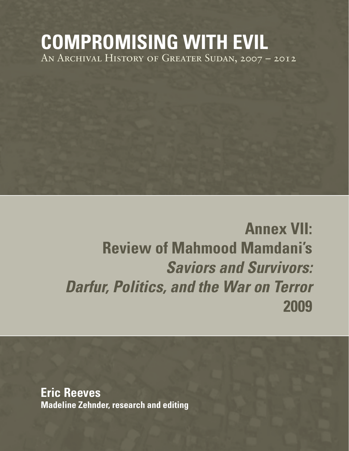## **COMPROMISING WITH EVIL** An Archival History of Greater Sudan, 2007 – 2012

**Annex VII: Review of Mahmood Mamdani's** *Saviors and Survivors: Darfur, Politics, and the War on Terror* **2009**

**Eric Reeves Madeline Zehnder, research and editing**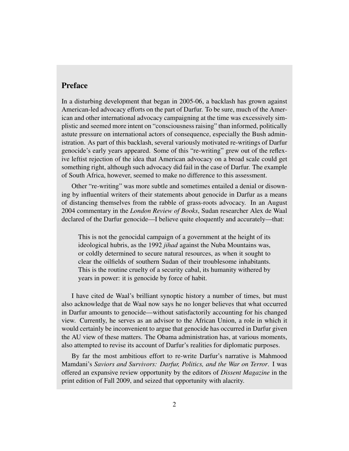## Preface

In a disturbing development that began in 2005-06, a backlash has grown against American-led advocacy efforts on the part of Darfur. To be sure, much of the American and other international advocacy campaigning at the time was excessively simplistic and seemed more intent on "consciousness raising" than informed, politically astute pressure on international actors of consequence, especially the Bush administration. As part of this backlash, several variously motivated re-writings of Darfur genocide's early years appeared. Some of this "re-writing" grew out of the reflexive leftist rejection of the idea that American advocacy on a broad scale could get something right, although such advocacy did fail in the case of Darfur. The example of South Africa, however, seemed to make no difference to this assessment.

Other "re-writing" was more subtle and sometimes entailed a denial or disowning by influential writers of their statements about genocide in Darfur as a means of distancing themselves from the rabble of grass-roots advocacy. In an August 2004 commentary in the *London Review of Books*, Sudan researcher Alex de Waal declared of the Darfur genocide—I believe quite eloquently and accurately—that:

This is not the genocidal campaign of a government at the height of its ideological hubris, as the 1992 *jihad* against the Nuba Mountains was, or coldly determined to secure natural resources, as when it sought to clear the oilfields of southern Sudan of their troublesome inhabitants. This is the routine cruelty of a security cabal, its humanity withered by years in power: it is genocide by force of habit.

I have cited de Waal's brilliant synoptic history a number of times, but must also acknowledge that de Waal now says he no longer believes that what occurred in Darfur amounts to genocide—without satisfactorily accounting for his changed view. Currently, he serves as an advisor to the African Union, a role in which it would certainly be inconvenient to argue that genocide has occurred in Darfur given the AU view of these matters. The Obama administration has, at various moments, also attempted to revise its account of Darfur's realities for diplomatic purposes.

By far the most ambitious effort to re-write Darfur's narrative is Mahmood Mamdani's *Saviors and Survivors: Darfur, Politics, and the War on Terror*. I was offered an expansive review opportunity by the editors of *Dissent Magazine* in the print edition of Fall 2009, and seized that opportunity with alacrity.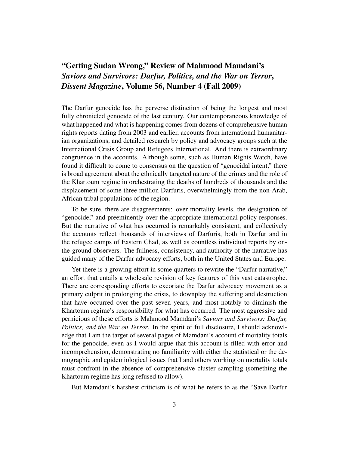## "Getting Sudan Wrong," Review of Mahmood Mamdani's *Saviors and Survivors: Darfur, Politics, and the War on Terror*, *Dissent Magazine*, Volume 56, Number 4 (Fall 2009)

The Darfur genocide has the perverse distinction of being the longest and most fully chronicled genocide of the last century. Our contemporaneous knowledge of what happened and what is happening comes from dozens of comprehensive human rights reports dating from 2003 and earlier, accounts from international humanitarian organizations, and detailed research by policy and advocacy groups such at the International Crisis Group and Refugees International. And there is extraordinary congruence in the accounts. Although some, such as Human Rights Watch, have found it difficult to come to consensus on the question of "genocidal intent," there is broad agreement about the ethnically targeted nature of the crimes and the role of the Khartoum regime in orchestrating the deaths of hundreds of thousands and the displacement of some three million Darfuris, overwhelmingly from the non-Arab, African tribal populations of the region.

To be sure, there are disagreements: over mortality levels, the designation of "genocide," and preeminently over the appropriate international policy responses. But the narrative of what has occurred is remarkably consistent, and collectively the accounts reflect thousands of interviews of Darfuris, both in Darfur and in the refugee camps of Eastern Chad, as well as countless individual reports by onthe-ground observers. The fullness, consistency, and authority of the narrative has guided many of the Darfur advocacy efforts, both in the United States and Europe.

Yet there is a growing effort in some quarters to rewrite the "Darfur narrative," an effort that entails a wholesale revision of key features of this vast catastrophe. There are corresponding efforts to excoriate the Darfur advocacy movement as a primary culprit in prolonging the crisis, to downplay the suffering and destruction that have occurred over the past seven years, and most notably to diminish the Khartoum regime's responsibility for what has occurred. The most aggressive and pernicious of these efforts is Mahmood Mamdani's *Saviors and Survivors: Darfur, Politics, and the War on Terror*. In the spirit of full disclosure, I should acknowledge that I am the target of several pages of Mamdani's account of mortality totals for the genocide, even as I would argue that this account is filled with error and incomprehension, demonstrating no familiarity with either the statistical or the demographic and epidemiological issues that I and others working on mortality totals must confront in the absence of comprehensive cluster sampling (something the Khartoum regime has long refused to allow).

But Mamdani's harshest criticism is of what he refers to as the "Save Darfur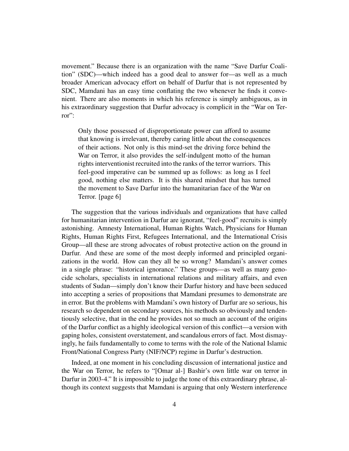movement." Because there is an organization with the name "Save Darfur Coalition" (SDC)—which indeed has a good deal to answer for—as well as a much broader American advocacy effort on behalf of Darfur that is not represented by SDC, Mamdani has an easy time conflating the two whenever he finds it convenient. There are also moments in which his reference is simply ambiguous, as in his extraordinary suggestion that Darfur advocacy is complicit in the "War on Terror":

Only those possessed of disproportionate power can afford to assume that knowing is irrelevant, thereby caring little about the consequences of their actions. Not only is this mind-set the driving force behind the War on Terror, it also provides the self-indulgent motto of the human rights interventionist recruited into the ranks of the terror warriors. This feel-good imperative can be summed up as follows: as long as I feel good, nothing else matters. It is this shared mindset that has turned the movement to Save Darfur into the humanitarian face of the War on Terror. [page 6]

The suggestion that the various individuals and organizations that have called for humanitarian intervention in Darfur are ignorant, "feel-good" recruits is simply astonishing. Amnesty International, Human Rights Watch, Physicians for Human Rights, Human Rights First, Refugees International, and the International Crisis Group—all these are strong advocates of robust protective action on the ground in Darfur. And these are some of the most deeply informed and principled organizations in the world. How can they all be so wrong? Mamdani's answer comes in a single phrase: "historical ignorance." These groups—as well as many genocide scholars, specialists in international relations and military affairs, and even students of Sudan—simply don't know their Darfur history and have been seduced into accepting a series of propositions that Mamdani presumes to demonstrate are in error. But the problems with Mamdani's own history of Darfur are so serious, his research so dependent on secondary sources, his methods so obviously and tendentiously selective, that in the end he provides not so much an account of the origins of the Darfur conflict as a highly ideological version of this conflict—a version with gaping holes, consistent overstatement, and scandalous errors of fact. Most dismayingly, he fails fundamentally to come to terms with the role of the National Islamic Front/National Congress Party (NIF/NCP) regime in Darfur's destruction.

Indeed, at one moment in his concluding discussion of international justice and the War on Terror, he refers to "[Omar al-] Bashir's own little war on terror in Darfur in 2003-4." It is impossible to judge the tone of this extraordinary phrase, although its context suggests that Mamdani is arguing that only Western interference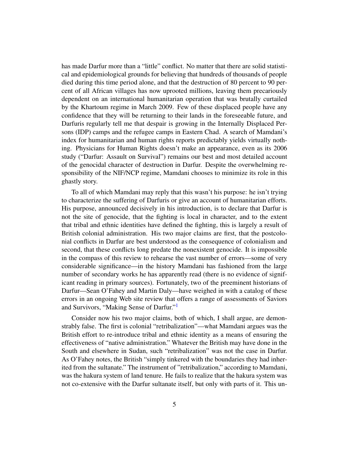has made Darfur more than a "little" conflict. No matter that there are solid statistical and epidemiological grounds for believing that hundreds of thousands of people died during this time period alone, and that the destruction of 80 percent to 90 percent of all African villages has now uprooted millions, leaving them precariously dependent on an international humanitarian operation that was brutally curtailed by the Khartoum regime in March 2009. Few of these displaced people have any confidence that they will be returning to their lands in the foreseeable future, and Darfuris regularly tell me that despair is growing in the Internally Displaced Persons (IDP) camps and the refugee camps in Eastern Chad. A search of Mamdani's index for humanitarian and human rights reports predictably yields virtually nothing. Physicians for Human Rights doesn't make an appearance, even as its 2006 study ("Darfur: Assault on Survival") remains our best and most detailed account of the genocidal character of destruction in Darfur. Despite the overwhelming responsibility of the NIF/NCP regime, Mamdani chooses to minimize its role in this ghastly story.

To all of which Mamdani may reply that this wasn't his purpose: he isn't trying to characterize the suffering of Darfuris or give an account of humanitarian efforts. His purpose, announced decisively in his introduction, is to declare that Darfur is not the site of genocide, that the fighting is local in character, and to the extent that tribal and ethnic identities have defined the fighting, this is largely a result of British colonial administration. His two major claims are first, that the postcolonial conflicts in Darfur are best understood as the consequence of colonialism and second, that these conflicts long predate the nonexistent genocide. It is impossible in the compass of this review to rehearse the vast number of errors—some of very considerable significance—in the history Mamdani has fashioned from the large number of secondary works he has apparently read (there is no evidence of significant reading in primary sources). Fortunately, two of the preeminent historians of Darfur—Sean O'Fahey and Martin Daly—have weighed in with a catalog of these errors in an ongoing Web site review that offers a range of assessments of Saviors and Survivors, "Making Sense of Darfur."[1](#page-9-0)

<span id="page-4-0"></span>Consider now his two major claims, both of which, I shall argue, are demonstrably false. The first is colonial "retribalization"—what Mamdani argues was the British effort to re-introduce tribal and ethnic identity as a means of ensuring the effectiveness of "native administration." Whatever the British may have done in the South and elsewhere in Sudan, such "retribalization" was not the case in Darfur. As O'Fahey notes, the British "simply tinkered with the boundaries they had inherited from the sultanate." The instrument of "retribalization," according to Mamdani, was the hakura system of land tenure. He fails to realize that the hakura system was not co-extensive with the Darfur sultanate itself, but only with parts of it. This un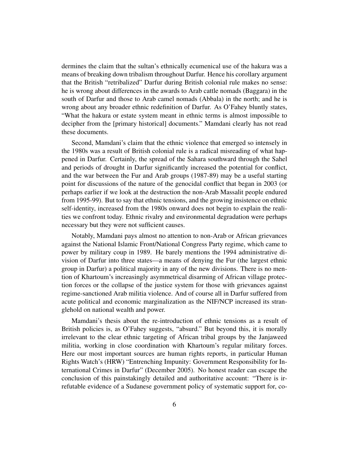dermines the claim that the sultan's ethnically ecumenical use of the hakura was a means of breaking down tribalism throughout Darfur. Hence his corollary argument that the British "retribalized" Darfur during British colonial rule makes no sense: he is wrong about differences in the awards to Arab cattle nomads (Baggara) in the south of Darfur and those to Arab camel nomads (Abbala) in the north; and he is wrong about any broader ethnic redefinition of Darfur. As O'Fahey bluntly states, "What the hakura or estate system meant in ethnic terms is almost impossible to decipher from the [primary historical] documents." Mamdani clearly has not read these documents.

Second, Mamdani's claim that the ethnic violence that emerged so intensely in the 1980s was a result of British colonial rule is a radical misreading of what happened in Darfur. Certainly, the spread of the Sahara southward through the Sahel and periods of drought in Darfur significantly increased the potential for conflict, and the war between the Fur and Arab groups (1987-89) may be a useful starting point for discussions of the nature of the genocidal conflict that began in 2003 (or perhaps earlier if we look at the destruction the non-Arab Massalit people endured from 1995-99). But to say that ethnic tensions, and the growing insistence on ethnic self-identity, increased from the 1980s onward does not begin to explain the realities we confront today. Ethnic rivalry and environmental degradation were perhaps necessary but they were not sufficient causes.

Notably, Mamdani pays almost no attention to non-Arab or African grievances against the National Islamic Front/National Congress Party regime, which came to power by military coup in 1989. He barely mentions the 1994 administrative division of Darfur into three states—a means of denying the Fur (the largest ethnic group in Darfur) a political majority in any of the new divisions. There is no mention of Khartoum's increasingly asymmetrical disarming of African village protection forces or the collapse of the justice system for those with grievances against regime-sanctioned Arab militia violence. And of course all in Darfur suffered from acute political and economic marginalization as the NIF/NCP increased its stranglehold on national wealth and power.

Mamdani's thesis about the re-introduction of ethnic tensions as a result of British policies is, as O'Fahey suggests, "absurd." But beyond this, it is morally irrelevant to the clear ethnic targeting of African tribal groups by the Janjaweed militia, working in close coordination with Khartoum's regular military forces. Here our most important sources are human rights reports, in particular Human Rights Watch's (HRW) "Entrenching Impunity: Government Responsibility for International Crimes in Darfur" (December 2005). No honest reader can escape the conclusion of this painstakingly detailed and authoritative account: "There is irrefutable evidence of a Sudanese government policy of systematic support for, co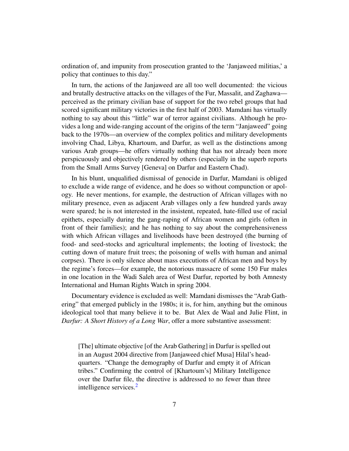ordination of, and impunity from prosecution granted to the 'Janjaweed militias,' a policy that continues to this day."

In turn, the actions of the Janjaweed are all too well documented: the vicious and brutally destructive attacks on the villages of the Fur, Massalit, and Zaghawa perceived as the primary civilian base of support for the two rebel groups that had scored significant military victories in the first half of 2003. Mamdani has virtually nothing to say about this "little" war of terror against civilians. Although he provides a long and wide-ranging account of the origins of the term "Janjaweed" going back to the 1970s—an overview of the complex politics and military developments involving Chad, Libya, Khartoum, and Darfur, as well as the distinctions among various Arab groups—he offers virtually nothing that has not already been more perspicuously and objectively rendered by others (especially in the superb reports from the Small Arms Survey [Geneva] on Darfur and Eastern Chad).

In his blunt, unqualified dismissal of genocide in Darfur, Mamdani is obliged to exclude a wide range of evidence, and he does so without compunction or apology. He never mentions, for example, the destruction of African villages with no military presence, even as adjacent Arab villages only a few hundred yards away were spared; he is not interested in the insistent, repeated, hate-filled use of racial epithets, especially during the gang-raping of African women and girls (often in front of their families); and he has nothing to say about the comprehensiveness with which African villages and livelihoods have been destroyed (the burning of food- and seed-stocks and agricultural implements; the looting of livestock; the cutting down of mature fruit trees; the poisoning of wells with human and animal corpses). There is only silence about mass executions of African men and boys by the regime's forces—for example, the notorious massacre of some 150 Fur males in one location in the Wadi Saleh area of West Darfur, reported by both Amnesty International and Human Rights Watch in spring 2004.

Documentary evidence is excluded as well: Mamdani dismisses the "Arab Gathering" that emerged publicly in the 1980s; it is, for him, anything but the ominous ideological tool that many believe it to be. But Alex de Waal and Julie Flint, in *Darfur: A Short History of a Long War*, offer a more substantive assessment:

<span id="page-6-0"></span>[The] ultimate objective [of the Arab Gathering] in Darfur is spelled out in an August 2004 directive from [Janjaweed chief Musa] Hilal's headquarters. "Change the demography of Darfur and empty it of African tribes." Confirming the control of [Khartoum's] Military Intelligence over the Darfur file, the directive is addressed to no fewer than three intelligence services.<sup>[2](#page-9-1)</sup>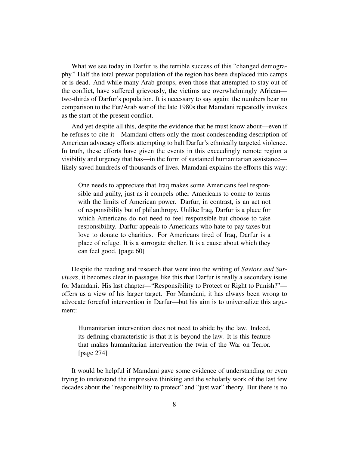What we see today in Darfur is the terrible success of this "changed demography." Half the total prewar population of the region has been displaced into camps or is dead. And while many Arab groups, even those that attempted to stay out of the conflict, have suffered grievously, the victims are overwhelmingly African two-thirds of Darfur's population. It is necessary to say again: the numbers bear no comparison to the Fur/Arab war of the late 1980s that Mamdani repeatedly invokes as the start of the present conflict.

And yet despite all this, despite the evidence that he must know about—even if he refuses to cite it—Mamdani offers only the most condescending description of American advocacy efforts attempting to halt Darfur's ethnically targeted violence. In truth, these efforts have given the events in this exceedingly remote region a visibility and urgency that has—in the form of sustained humanitarian assistance likely saved hundreds of thousands of lives. Mamdani explains the efforts this way:

One needs to appreciate that Iraq makes some Americans feel responsible and guilty, just as it compels other Americans to come to terms with the limits of American power. Darfur, in contrast, is an act not of responsibility but of philanthropy. Unlike Iraq, Darfur is a place for which Americans do not need to feel responsible but choose to take responsibility. Darfur appeals to Americans who hate to pay taxes but love to donate to charities. For Americans tired of Iraq, Darfur is a place of refuge. It is a surrogate shelter. It is a cause about which they can feel good. [page 60]

Despite the reading and research that went into the writing of *Saviors and Survivors*, it becomes clear in passages like this that Darfur is really a secondary issue for Mamdani. His last chapter—"Responsibility to Protect or Right to Punish?" offers us a view of his larger target. For Mamdani, it has always been wrong to advocate forceful intervention in Darfur—but his aim is to universalize this argument:

Humanitarian intervention does not need to abide by the law. Indeed, its defining characteristic is that it is beyond the law. It is this feature that makes humanitarian intervention the twin of the War on Terror. [page 274]

It would be helpful if Mamdani gave some evidence of understanding or even trying to understand the impressive thinking and the scholarly work of the last few decades about the "responsibility to protect" and "just war" theory. But there is no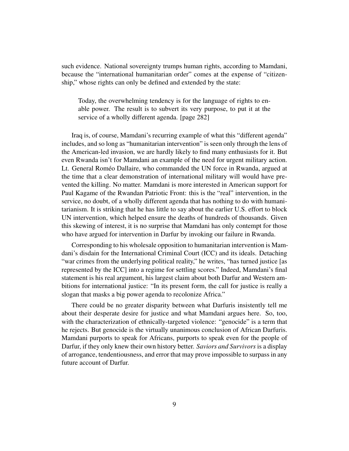such evidence. National sovereignty trumps human rights, according to Mamdani, because the "international humanitarian order" comes at the expense of "citizenship," whose rights can only be defined and extended by the state:

Today, the overwhelming tendency is for the language of rights to enable power. The result is to subvert its very purpose, to put it at the service of a wholly different agenda. [page 282]

Iraq is, of course, Mamdani's recurring example of what this "different agenda" includes, and so long as "humanitarian intervention" is seen only through the lens of the American-led invasion, we are hardly likely to find many enthusiasts for it. But even Rwanda isn't for Mamdani an example of the need for urgent military action. Lt. General Roméo Dallaire, who commanded the UN force in Rwanda, argued at the time that a clear demonstration of international military will would have prevented the killing. No matter. Mamdani is more interested in American support for Paul Kagame of the Rwandan Patriotic Front: this is the "real" intervention, in the service, no doubt, of a wholly different agenda that has nothing to do with humanitarianism. It is striking that he has little to say about the earlier U.S. effort to block UN intervention, which helped ensure the deaths of hundreds of thousands. Given this skewing of interest, it is no surprise that Mamdani has only contempt for those who have argued for intervention in Darfur by invoking our failure in Rwanda.

Corresponding to his wholesale opposition to humanitarian intervention is Mamdani's disdain for the International Criminal Court (ICC) and its ideals. Detaching "war crimes from the underlying political reality," he writes, "has turned justice [as represented by the ICC] into a regime for settling scores." Indeed, Mamdani's final statement is his real argument, his largest claim about both Darfur and Western ambitions for international justice: "In its present form, the call for justice is really a slogan that masks a big power agenda to recolonize Africa."

There could be no greater disparity between what Darfuris insistently tell me about their desperate desire for justice and what Mamdani argues here. So, too, with the characterization of ethnically-targeted violence: "genocide" is a term that he rejects. But genocide is the virtually unanimous conclusion of African Darfuris. Mamdani purports to speak for Africans, purports to speak even for the people of Darfur, if they only knew their own history better. *Saviors and Survivors* is a display of arrogance, tendentiousness, and error that may prove impossible to surpass in any future account of Darfur.